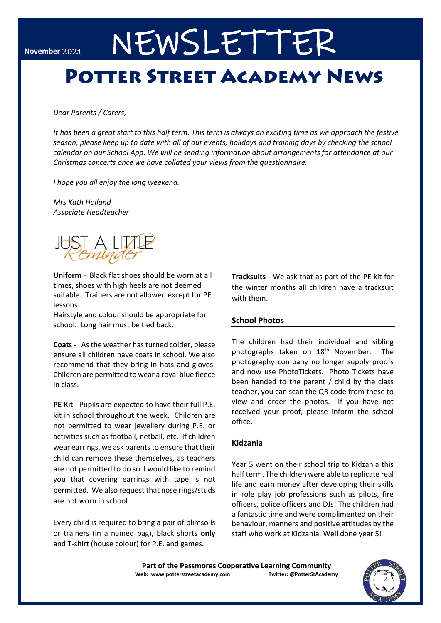# NEWSLETTER

## **POTTER STREET ACADEMY NEWS**

*Dear Parents / Carers,* 

*It has been a great start to this half term. This term is always an exciting time as we approach the festive season, please keep up to date with all of our events, holidays and training days by checking the school calendar on our School App. We will be sending information about arrangements for attendance at our Christmas concerts once we have collated your views from the questionnaire.*

*I hope you all enjoy the long weekend.*

*Mrs Kath Holland Associate Headteacher*



**Uniform** *-* Black flat shoes should be worn at all times, shoes with high heels are not deemed suitable. Trainers are not allowed except for PE lessons.

Hairstyle and colour should be appropriate for school. Long hair must be tied back.

**Coats -** As the weather has turned colder, please ensure all children have coats in school. We also recommend that they bring in hats and gloves. Children are permitted to wear a royal blue fleece in class.

**PE Kit** - Pupils are expected to have their full P.E. kit in school throughout the week. Children are not permitted to wear jewellery during P.E. or activities such as football, netball, etc. If children wear earrings, we ask parents to ensure that their child can remove these themselves, as teachers are not permitted to do so. I would like to remind you that covering earrings with tape is not permitted. We also request that nose rings/studs are not worn in school

Every child is required to bring a pair of plimsolls or trainers (in a named bag), black shorts **only** and T-shirt (house colour) for P.E. and games.

**Tracksuits -** We ask that as part of the PE kit for the winter months all children have a tracksuit with them.

#### **School Photos**

The children had their individual and sibling photographs taken on 18<sup>th</sup> November. The photography company no longer supply proofs and now use PhotoTickets. Photo Tickets have been handed to the parent / child by the class teacher, you can scan the QR code from these to view and order the photos. If you have not received your proof, please inform the school office.

#### **Kidzania**

Year 5 went on their school trip to Kidzania this half term. The children were able to replicate real life and earn money after developing their skills in role play job professions such as pilots, fire officers, police officers and DJs! The children had a fantastic time and were complimented on their behaviour, manners and positive attitudes by the staff who work at Kidzania. Well done year 5!

**Part of the Passmores Cooperative Learning Community Web: www.potterstreetacademy.com Twitter: @PotterStAcademy**

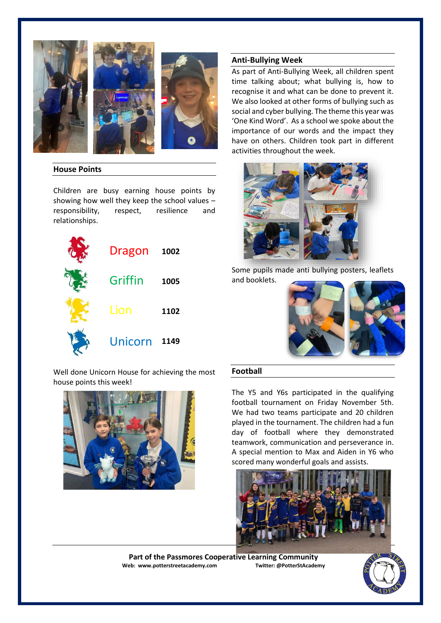





#### **House Points**

Children are busy earning house points by showing how well they keep the school values – responsibility, respect, resilience and relationships.



Well done Unicorn House for achieving the most house points this week!



#### **Anti-Bullying Week**

As part of Anti-Bullying Week, all children spent time talking about; what bullying is, how to recognise it and what can be done to prevent it. We also looked at other forms of bullying such as social and cyber bullying. The theme this year was 'One Kind Word'. As a school we spoke about the importance of our words and the impact they have on others. Children took part in different activities throughout the week.



Some pupils made anti bullying posters, leaflets and booklets.



### **Football**

The Y5 and Y6s participated in the qualifying football tournament on Friday November 5th. We had two teams participate and 20 children played in the tournament. The children had a fun day of football where they demonstrated teamwork, communication and perseverance in. A special mention to Max and Aiden in Y6 who scored many wonderful goals and assists.



Part of the Passmores Cooperative Learning Community<br>eb: www.potterstreetacademy.com **Interiant Conducts** Twitter: @PotterStAcademy **Web: www.potterstreetacademy.com** 

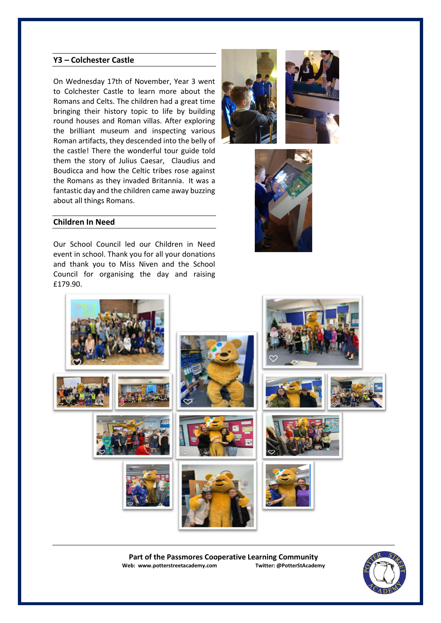#### **Y3 – Colchester Castle**

On Wednesday 17th of November, Year 3 went to Colchester Castle to learn more about the Romans and Celts. The children had a great time bringing their history topic to life by building round houses and Roman villas. After exploring the brilliant museum and inspecting various Roman artifacts, they descended into the belly of the castle! There the wonderful tour guide told them the story of Julius Caesar, Claudius and Boudicca and how the Celtic tribes rose against the Romans as they invaded Britannia. It was a fantastic day and the children came away buzzing about all things Romans.







#### **Children In Need**

Our School Council led our Children in Need event in school. Thank you for all your donations and thank you to Miss Niven and the School Council for organising the day and raising £179.90.



Part of the Passmores Cooperative Learning Community<br>eb: www.potterstreetacademy.com **Twitter:** @PotterStAcademy **Web: www.potterstreetacademy.com**